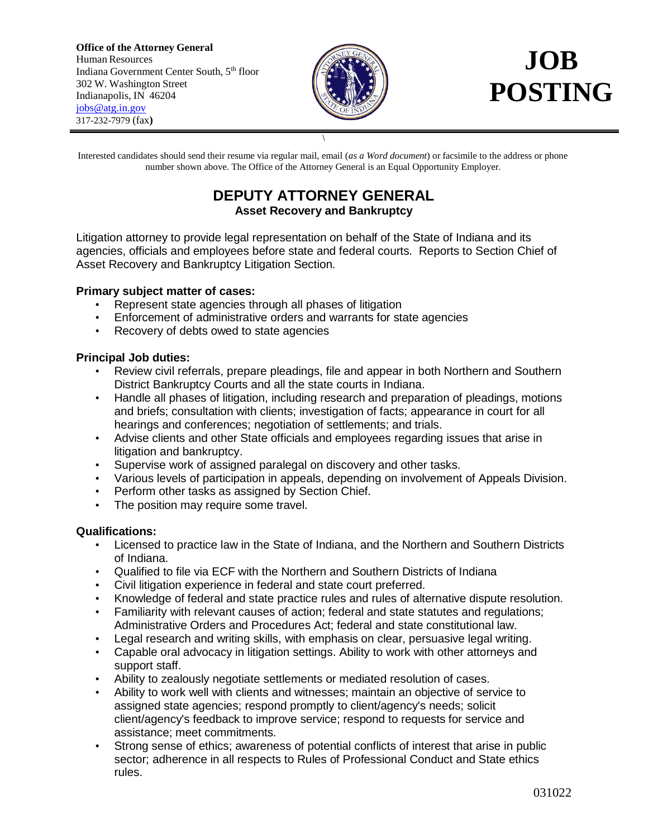**Office of the Attorney General** Human Resources Indiana Government Center South, 5th floor 302 W. Washington Street Indianapolis, IN 46204 [jobs@atg.in.gov](mailto:jobs@atg.in.gov) 317-232-7979 (fax**)**



Interested candidates should send their resume via regular mail, email (*as a Word document*) or facsimile to the address or phone number shown above. The Office of the Attorney General is an Equal Opportunity Employer.

\

## **DEPUTY ATTORNEY GENERAL Asset Recovery and Bankruptcy**

Litigation attorney to provide legal representation on behalf of the State of Indiana and its agencies, officials and employees before state and federal courts. Reports to Section Chief of Asset Recovery and Bankruptcy Litigation Section.

## **Primary subject matter of cases:**

- Represent state agencies through all phases of litigation
- Enforcement of administrative orders and warrants for state agencies
- Recovery of debts owed to state agencies

## **Principal Job duties:**

- Review civil referrals, prepare pleadings, file and appear in both Northern and Southern District Bankruptcy Courts and all the state courts in Indiana.
- Handle all phases of litigation, including research and preparation of pleadings, motions and briefs; consultation with clients; investigation of facts; appearance in court for all hearings and conferences; negotiation of settlements; and trials.
- Advise clients and other State officials and employees regarding issues that arise in litigation and bankruptcy.
- Supervise work of assigned paralegal on discovery and other tasks.
- Various levels of participation in appeals, depending on involvement of Appeals Division.
- Perform other tasks as assigned by Section Chief.
- The position may require some travel.

## **Qualifications:**

- Licensed to practice law in the State of Indiana, and the Northern and Southern Districts of Indiana.
- Qualified to file via ECF with the Northern and Southern Districts of Indiana
- Civil litigation experience in federal and state court preferred.
- Knowledge of federal and state practice rules and rules of alternative dispute resolution.
- Familiarity with relevant causes of action; federal and state statutes and regulations; Administrative Orders and Procedures Act; federal and state constitutional law.
- Legal research and writing skills, with emphasis on clear, persuasive legal writing.
- Capable oral advocacy in litigation settings. Ability to work with other attorneys and support staff.
- Ability to zealously negotiate settlements or mediated resolution of cases.
- Ability to work well with clients and witnesses; maintain an objective of service to assigned state agencies; respond promptly to client/agency's needs; solicit client/agency's feedback to improve service; respond to requests for service and assistance; meet commitments.
- Strong sense of ethics; awareness of potential conflicts of interest that arise in public sector; adherence in all respects to Rules of Professional Conduct and State ethics rules.